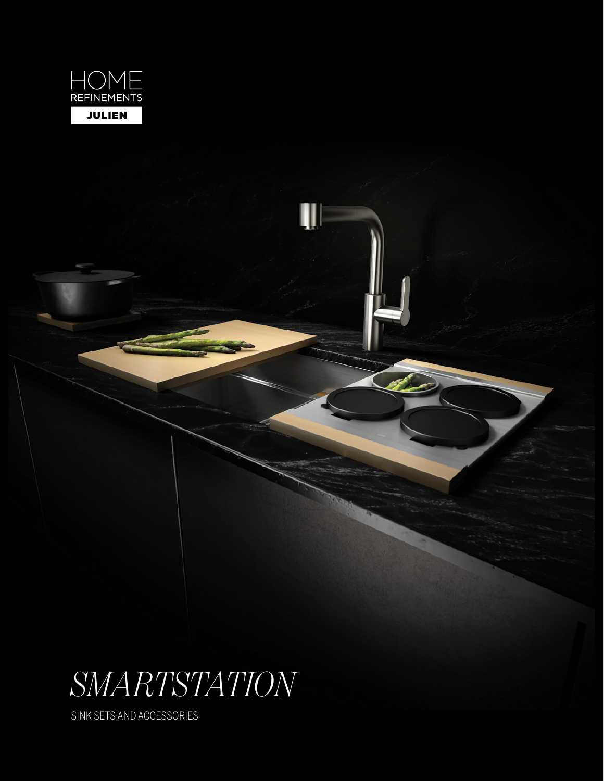

# *SMARTSTATION*

Ш

SINK SETS AND ACCESSORIES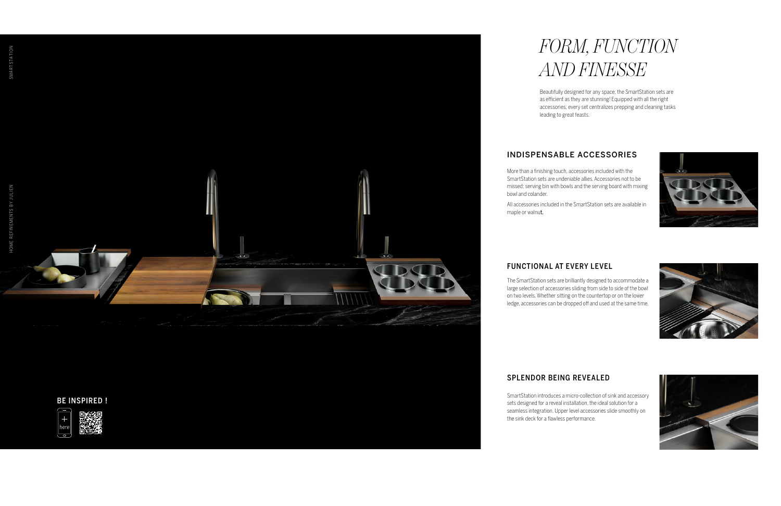SMARTSTATION

Beautifully designed for any space, the SmartStation sets are as efficient as they are stunning! Equipped with all the right accessories, every set centralizes prepping and cleaning tasks

leading to great feasts.

## *FORM, FUNCTION AND FINESSE*

More than a finishing touch, accessories included with the SmartStation sets are undeniable allies. Accessories not to be missed: serving bin with bowls and the serving board with mixing bowl and colander.

All accessories included in the SmartStation sets are available in







maple or walnut.

The SmartStation sets are brilliantly designed to accommodate a large selection of accessories sliding from side to side of the bowl on two levels. Whether sitting on the countertop or on the lower ledge, accessories can be dropped off and used at the same time.

SmartStation introduces a micro-collection of sink and accessory sets designed for a reveal installation, the ideal solution for a seamless integration. Upper level accessories slide smoothly on the sink deck for a flawless performance.

## INDISPENSABLE ACCESSORIES

### FUNCTIONAL AT EVERY LEVEL

## SPLENDOR BEING REVEALED